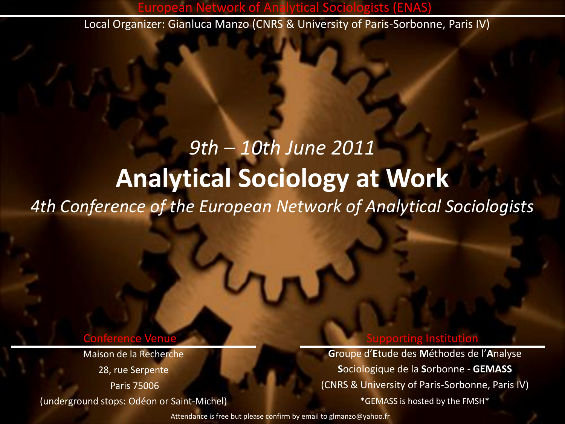European Network of Analytical Sociologists (ENAS) Local Organizer: Gianluca Manzo (CNRS & University of Paris-Sorbonne, Paris IV)

# *9th – 10th June 2011* **Analytical Sociology at Work** *4th Conference of the European Network of Analytical Sociologists*

#### Conference Venue Supporting Institution

Maison de la Recherche 28, rue Serpente Paris 75006 (underground stops: Odéon or Saint-Michel)

**G**roupe d'**E**tude des **M**éthodes de l'**A**nalyse **S**ociologique de la **S**orbonne - **GEMASS** (CNRS & University of Paris-Sorbonne, Paris IV) \*GEMASS is hosted by the FMSH\*

Attendance is free but please confirm by email to glmanzo@yahoo.fr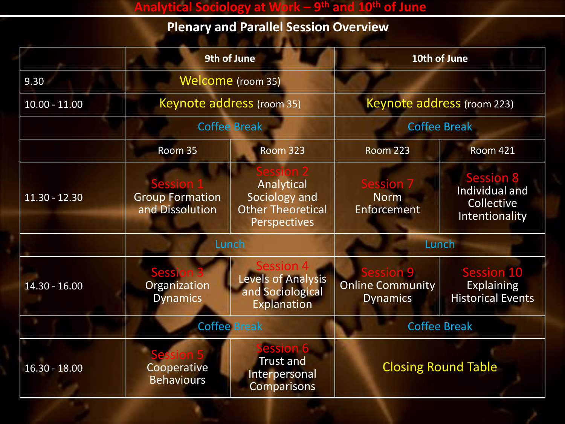#### **Analytical Sociology at Work – 9 th and 10th of June**

## **Plenary and Parallel Session Overview**

|                 | 9th of June                                      |                                                                                | 10th of June                                      |                                                                    |
|-----------------|--------------------------------------------------|--------------------------------------------------------------------------------|---------------------------------------------------|--------------------------------------------------------------------|
| 9.30            | Welcome (room 35)                                |                                                                                |                                                   |                                                                    |
| $10.00 - 11.00$ | Keynote address (room 35)<br><b>Coffee Break</b> |                                                                                | Keynote address (room 223)                        |                                                                    |
|                 |                                                  |                                                                                | <b>Coffee Break</b>                               |                                                                    |
|                 | Room 35                                          | <b>Room 323</b>                                                                | <b>Room 223</b>                                   | <b>Room 421</b>                                                    |
| $11.30 - 12.30$ | <b>Group Formation</b><br>and Dissolution        | Analytical<br>Sociology and<br><b>Other Theoretical</b><br><b>Perspectives</b> | ssion<br><b>Norm</b><br>Enforcement               | <b>Session 8</b><br>Individual and<br>Collective<br>Intentionality |
|                 | Lunch                                            | Lunch                                                                          |                                                   |                                                                    |
| $14.30 - 16.00$ | <b>Sessi</b><br>Organization<br><b>Dynamics</b>  | Session 4<br><b>Levels of Analysis</b><br>and Sociological<br>Explanation      | n 9<br><b>Online Community</b><br><b>Dynamics</b> | <b>Session 10</b><br><b>Explaining</b><br><b>Historical Events</b> |
|                 | <b>Coffee Break</b>                              |                                                                                | <b>Coffee Break</b>                               |                                                                    |
| $16.30 - 18.00$ | Cooperative<br><b>Behaviours</b>                 | ession 6<br><b>Trust and</b><br>Interpersonal<br><b>Comparisons</b>            | <b>Closing Round Table</b>                        |                                                                    |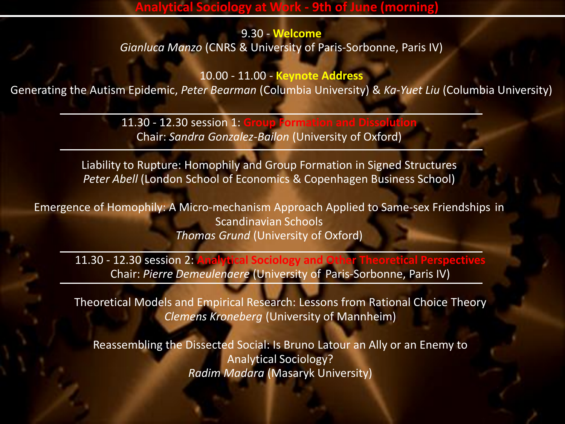### **Analytical Sociology at Work - 9th of June (morning)**

9.30 - **Welcome** *Gianluca Manzo* (CNRS & University of Paris-Sorbonne, Paris IV)

10.00 - 11.00 - **Keynote Address** Generating the Autism Epidemic, *Peter Bearman* (Columbia University) & *Ka-Yuet Liu* (Columbia University)

> 11.30 - 12.30 session 1: **Group Form** Chair: *Sandra Gonzalez-Bailon* (University of Oxford)

Liability to Rupture: Homophily and Group Formation in Signed Structures *Peter Abell* (London School of Economics & Copenhagen Business School)

Emergence of Homophily: A Micro-mechanism Approach Applied to Same-sex Friendships in Scandinavian Schools *Thomas Grund* (University of Oxford)

11.30 - 12.30 session 2: **Analytical Sociology and Other T** Chair: *Pierre Demeulenaere* (University of Paris-Sorbonne, Paris IV)

Theoretical Models and Empirical Research: Lessons from Rational Choice Theory *Clemens Kroneberg* (University of Mannheim)

Reassembling the Dissected Social: Is Bruno Latour an Ally or an Enemy to Analytical Sociology? *Radim Madara* (Masaryk University)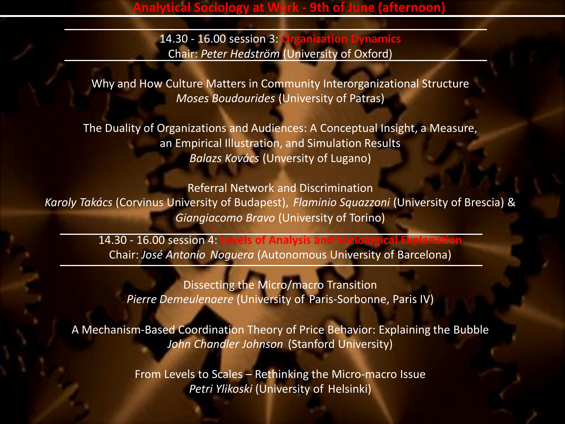14.30 - 16.00 session 3: **Organization Dynamics** Chair: *Peter Hedström* (University of Oxford)

Why and How Culture Matters in Community Interorganizational Structure *Moses Boudourides* (University of Patras)

The Duality of Organizations and Audiences: A Conceptual Insight, a Measure, an Empirical Illustration, and Simulation Results *Balazs Kovács* (Unversity of Lugano)

Referral Network and Discrimination *Karoly Takács* (Corvinus University of Budapest), *Flaminio Squazzoni* (University of Brescia) & *Giangiacomo Bravo* (University of Torino)

> 14.30 - 16.00 session 4: **Levels of Analysis and Sociological Explanation** Chair: *José Antonio Noguera* (Autonomous University of Barcelona)

Dissecting the Micro/macro Transition *Pierre Demeulenaere* (University of Paris-Sorbonne, Paris IV)

A Mechanism-Based Coordination Theory of Price Behavior: Explaining the Bubble *John Chandler Johnson* (Stanford University)

> From Levels to Scales – Rethinking the Micro-macro Issue *Petri Ylikoski* (University of Helsinki)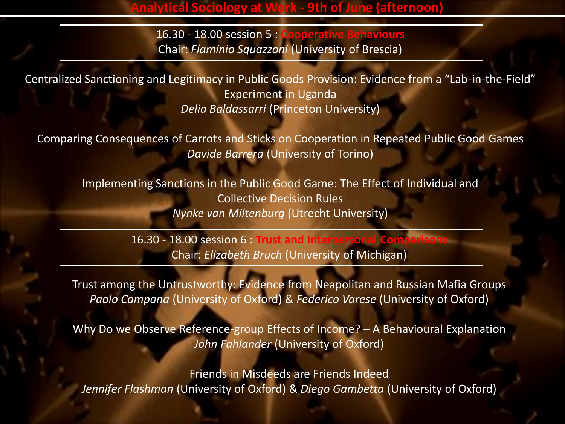**Analytical Sociology Corresponsi** 

16.30 - 18.00 session 5 : **Cooperative Behaviours** Chair: *Flaminio Squazzoni* (University of Brescia)

Centralized Sanctioning and Legitimacy in Public Goods Provision: Evidence from a "Lab-in-the-Field" Experiment in Uganda *Delia Baldassarri* (Princeton University)

Comparing Consequences of Carrots and Sticks on Cooperation in Repeated Public Good Games *Davide Barrera* (University of Torino)

Implementing Sanctions in the Public Good Game: The Effect of Individual and Collective Decision Rules *Nynke van Miltenburg* (Utrecht University)

> 16.30 - 18.00 session 6 : **Trust and Interpersonal Comparisons** Chair: *Elizabeth Bruch* (University of Michigan)

Trust among the Untrustworthy: Evidence from Neapolitan and Russian Mafia Groups *Paolo Campana* (University of Oxford) & *Federico Varese* (University of Oxford)

Why Do we Observe Reference-group Effects of Income? – A Behavioural Explanation *John Fahlander* (University of Oxford)

Friends in Misdeeds are Friends Indeed *Jennifer Flashman* (University of Oxford) & *Diego Gambetta* (University of Oxford)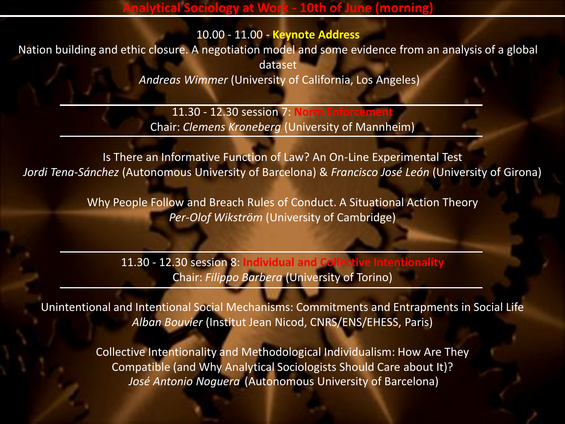10.00 - 11.00 - **Keynote Address**

Nation building and ethic closure. A negotiation model and some evidence from an analysis of a global dataset

*Andreas Wimmer* (University of California, Los Angeles)

11.30 - 12.30 session 7: **Norm England** Chair: *Clemens Kroneberg* (University of Mannheim)

Is There an Informative Function of Law? An On-Line Experimental Test *Jordi Tena-Sánchez* (Autonomous University of Barcelona) & *Francisco José León* (University of Girona)

> Why People Follow and Breach Rules of Conduct. A Situational Action Theory *Per-Olof Wikström* (University of Cambridge)

11.30 - 12.30 session 8: **Individual and Collective Intentionality** Chair: *Filippo Barbera* (University of Torino)

Unintentional and Intentional Social Mechanisms: Commitments and Entrapments in Social Life *Alban Bouvier* (Institut Jean Nicod, CNRS/ENS/EHESS, Paris)

> Collective Intentionality and Methodological Individualism: How Are They Compatible (and Why Analytical Sociologists Should Care about It)? *José Antonio Noguera* (Autonomous University of Barcelona)